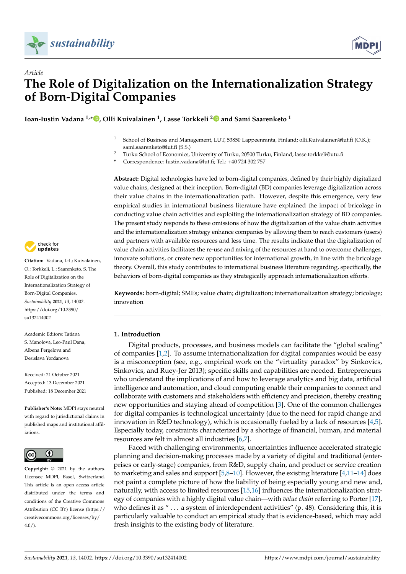



# *Article* **The Role of Digitalization on the Internationalization Strategy of Born-Digital Companies**

**Ioan-Iustin Vadana 1,\* [,](https://orcid.org/0000-0002-2364-6491) Olli Kuivalainen <sup>1</sup> , Lasse Torkkeli [2](https://orcid.org/0000-0003-0750-4087) and Sami Saarenketo <sup>1</sup>**

- <sup>1</sup> School of Business and Management, LUT, 53850 Lappeenranta, Finland; olli.Kuivalainen@lut.fi (O.K.); sami.saarenketo@lut.fi (S.S.)
- <sup>2</sup> Turku School of Economics, University of Turku, 20500 Turku, Finland; lasse.torkkeli@utu.fi
- **\*** Correspondence: Iustin.vadana@lut.fi; Tel.: +40 724 302 757

**Abstract:** Digital technologies have led to born-digital companies, defined by their highly digitalized value chains, designed at their inception. Born-digital (BD) companies leverage digitalization across their value chains in the internationalization path. However, despite this emergence, very few empirical studies in international business literature have explained the impact of bricolage in conducting value chain activities and exploiting the internationalization strategy of BD companies. The present study responds to these omissions of how the digitalization of the value chain activities and the internationalization strategy enhance companies by allowing them to reach customers (users) and partners with available resources and less time. The results indicate that the digitalization of value chain activities facilitates the re-use and mixing of the resources at hand to overcome challenges, innovate solutions, or create new opportunities for international growth, in line with the bricolage theory. Overall, this study contributes to international business literature regarding, specifically, the behaviors of born-digital companies as they strategically approach internationalization efforts.

**Keywords:** born-digital; SMEs; value chain; digitalization; internationalization strategy; bricolage; innovation

# **1. Introduction**

Digital products, processes, and business models can facilitate the "global scaling" of companies [\[1,](#page-14-0)[2\]](#page-14-1). To assume internationalization for digital companies would be easy is a misconception (see, e.g., empirical work on the "virtuality paradox" by Sinkovics, Sinkovics, and Ruey-Jer 2013); specific skills and capabilities are needed. Entrepreneurs who understand the implications of and how to leverage analytics and big data, artificial intelligence and automation, and cloud computing enable their companies to connect and collaborate with customers and stakeholders with efficiency and precision, thereby creating new opportunities and staying ahead of competition [\[3\]](#page-14-2). One of the common challenges for digital companies is technological uncertainty (due to the need for rapid change and innovation in R&D technology), which is occasionally fueled by a lack of resources [\[4,](#page-14-3)[5\]](#page-14-4). Especially today, constraints characterized by a shortage of financial, human, and material resources are felt in almost all industries [\[6,](#page-14-5)[7\]](#page-14-6).

Faced with challenging environments, uncertainties influence accelerated strategic planning and decision-making processes made by a variety of digital and traditional (enterprises or early-stage) companies, from R&D, supply chain, and product or service creation to marketing and sales and support  $[5,8-10]$  $[5,8-10]$  $[5,8-10]$ . However, the existing literature  $[4,11-14]$  $[4,11-14]$  $[4,11-14]$  does not paint a complete picture of how the liability of being especially young and new and, naturally, with access to limited resources [\[15](#page-14-11)[,16\]](#page-14-12) influences the internationalization strategy of companies with a highly digital value chain—with *value chain* referring to Porter [\[17\]](#page-14-13), who defines it as " . . . a system of interdependent activities" (p. 48). Considering this, it is particularly valuable to conduct an empirical study that is evidence-based, which may add fresh insights to the existing body of literature.



**Citation:** Vadana, I.-I.; Kuivalainen, O.; Torkkeli, L.; Saarenketo, S. The Role of Digitalization on the Internationalization Strategy of Born-Digital Companies. *Sustainability* **2021**, *13*, 14002. [https://doi.org/10.3390/](https://doi.org/10.3390/su132414002) [su132414002](https://doi.org/10.3390/su132414002)

Academic Editors: Tatiana S. Manolova, Leo-Paul Dana, Albena Pergelova and Desislava Yordanova

Received: 21 October 2021 Accepted: 13 December 2021 Published: 18 December 2021

**Publisher's Note:** MDPI stays neutral with regard to jurisdictional claims in published maps and institutional affiliations.



**Copyright:** © 2021 by the authors. Licensee MDPI, Basel, Switzerland. This article is an open access article distributed under the terms and conditions of the Creative Commons Attribution (CC BY) license (https:/[/](https://creativecommons.org/licenses/by/4.0/) [creativecommons.org/licenses/by/](https://creativecommons.org/licenses/by/4.0/)  $4.0/$ ).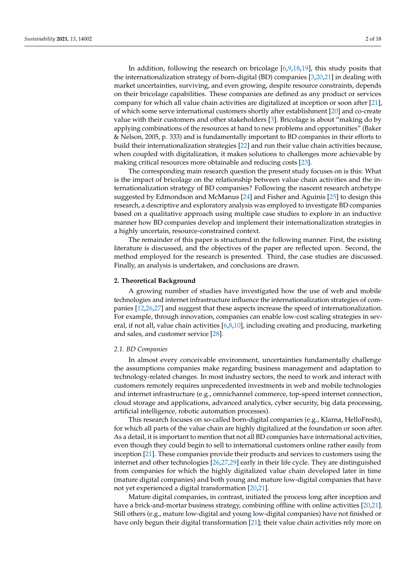In addition, following the research on bricolage [\[6](#page-14-5)[,9](#page-14-14)[,18](#page-14-15)[,19\]](#page-14-16), this study posits that the internationalization strategy of born-digital (BD) companies [\[3](#page-14-2)[,20](#page-14-17)[,21\]](#page-14-18) in dealing with market uncertainties, surviving, and even growing, despite resource constraints, depends on their bricolage capabilities. These companies are defined as any product or services company for which all value chain activities are digitalized at inception or soon after [\[21\]](#page-14-18), of which some serve international customers shortly after establishment [\[20\]](#page-14-17) and co-create value with their customers and other stakeholders [\[3\]](#page-14-2). Bricolage is about "making do by applying combinations of the resources at hand to new problems and opportunities" (Baker & Nelson, 2005, p. 333) and is fundamentally important to BD companies in their efforts to build their internationalization strategies [\[22\]](#page-15-0) and run their value chain activities because, when coupled with digitalization, it makes solutions to challenges more achievable by making critical resources more obtainable and reducing costs [\[23\]](#page-15-1).

The corresponding main research question the present study focuses on is this: What is the impact of bricolage on the relationship between value chain activities and the internationalization strategy of BD companies? Following the nascent research archetype suggested by Edmondson and McManus [\[24\]](#page-15-2) and Fisher and Aguinis [\[25\]](#page-15-3) to design this research, a descriptive and exploratory analysis was employed to investigate BD companies based on a qualitative approach using multiple case studies to explore in an inductive manner how BD companies develop and implement their internationalization strategies in a highly uncertain, resource-constrained context.

The remainder of this paper is structured in the following manner. First, the existing literature is discussed, and the objectives of the paper are reflected upon. Second, the method employed for the research is presented. Third, the case studies are discussed. Finally, an analysis is undertaken, and conclusions are drawn.

#### **2. Theoretical Background**

A growing number of studies have investigated how the use of web and mobile technologies and internet infrastructure influence the internationalization strategies of companies [\[12](#page-14-19)[,26](#page-15-4)[,27\]](#page-15-5) and suggest that these aspects increase the speed of internationalization. For example, through innovation, companies can enable low-cost scaling strategies in several, if not all, value chain activities  $[6,8,10]$  $[6,8,10]$  $[6,8,10]$ , including creating and producing, marketing and sales, and customer service [\[28\]](#page-15-6).

#### *2.1. BD Companies*

In almost every conceivable environment, uncertainties fundamentally challenge the assumptions companies make regarding business management and adaptation to technology-related changes. In most industry sectors, the need to work and interact with customers remotely requires unprecedented investments in web and mobile technologies and internet infrastructure (e.g., omnichannel commerce, top-speed internet connection, cloud storage and applications, advanced analytics, cyber security, big data processing, artificial intelligence, robotic automation processes).

This research focuses on so-called born-digital companies (e.g., Klarna, HelloFresh), for which all parts of the value chain are highly digitalized at the foundation or soon after. As a detail, it is important to mention that not all BD companies have international activities, even though they could begin to sell to international customers online rather easily from inception [\[21\]](#page-14-18). These companies provide their products and services to customers using the internet and other technologies [\[26](#page-15-4)[,27](#page-15-5)[,29\]](#page-15-7) early in their life cycle. They are distinguished from companies for which the highly digitalized value chain developed later in time (mature digital companies) and both young and mature low-digital companies that have not yet experienced a digital transformation [\[20](#page-14-17)[,21\]](#page-14-18).

Mature digital companies, in contrast, initiated the process long after inception and have a brick-and-mortar business strategy, combining offline with online activities [\[20](#page-14-17)[,21\]](#page-14-18). Still others (e.g., mature low-digital and young low-digital companies) have not finished or have only begun their digital transformation [\[21\]](#page-14-18); their value chain activities rely more on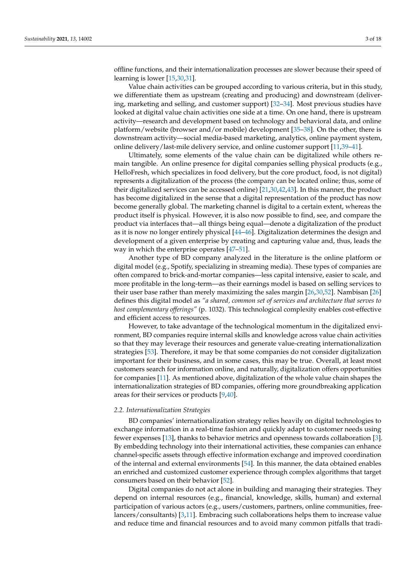offline functions, and their internationalization processes are slower because their speed of learning is lower [\[15,](#page-14-11)[30,](#page-15-8)[31\]](#page-15-9).

Value chain activities can be grouped according to various criteria, but in this study, we differentiate them as upstream (creating and producing) and downstream (delivering, marketing and selling, and customer support) [\[32](#page-15-10)[–34\]](#page-15-11). Most previous studies have looked at digital value chain activities one side at a time. On one hand, there is upstream activity—research and development based on technology and behavioral data, and online platform/website (browser and/or mobile) development [\[35](#page-15-12)[–38\]](#page-15-13). On the other, there is downstream activity—social media-based marketing, analytics, online payment system, online delivery/last-mile delivery service, and online customer support [\[11,](#page-14-9)[39–](#page-15-14)[41\]](#page-15-15).

Ultimately, some elements of the value chain can be digitalized while others remain tangible. An online presence for digital companies selling physical products (e.g., HelloFresh, which specializes in food delivery, but the core product, food, is not digital) represents a digitalization of the process (the company can be located online; thus, some of their digitalized services can be accessed online) [\[21](#page-14-18)[,30](#page-15-8)[,42](#page-15-16)[,43\]](#page-15-17). In this manner, the product has become digitalized in the sense that a digital representation of the product has now become generally global. The marketing channel is digital to a certain extent, whereas the product itself is physical. However, it is also now possible to find, see, and compare the product via interfaces that—all things being equal—denote a digitalization of the product as it is now no longer entirely physical [\[44](#page-15-18)[–46\]](#page-15-19). Digitalization determines the design and development of a given enterprise by creating and capturing value and, thus, leads the way in which the enterprise operates [\[47](#page-15-20)[–51\]](#page-15-21).

Another type of BD company analyzed in the literature is the online platform or digital model (e.g., Spotify, specializing in streaming media). These types of companies are often compared to brick-and-mortar companies—less capital intensive, easier to scale, and more profitable in the long-term—as their earnings model is based on selling services to their user base rather than merely maximizing the sales margin [\[26](#page-15-4)[,30](#page-15-8)[,52\]](#page-15-22). Nambisan [\[26\]](#page-15-4) defines this digital model as *"a shared, common set of services and architecture that serves to host complementary offerings"* (p. 1032). This technological complexity enables cost-effective and efficient access to resources.

However, to take advantage of the technological momentum in the digitalized environment, BD companies require internal skills and knowledge across value chain activities so that they may leverage their resources and generate value-creating internationalization strategies [\[53\]](#page-15-23). Therefore, it may be that some companies do not consider digitalization important for their business, and in some cases, this may be true. Overall, at least most customers search for information online, and naturally, digitalization offers opportunities for companies [\[11\]](#page-14-9). As mentioned above, digitalization of the whole value chain shapes the internationalization strategies of BD companies, offering more groundbreaking application areas for their services or products [\[9](#page-14-14)[,40\]](#page-15-24).

#### *2.2. Internationalization Strategies*

BD companies' internationalization strategy relies heavily on digital technologies to exchange information in a real-time fashion and quickly adapt to customer needs using fewer expenses [\[13\]](#page-14-20), thanks to behavior metrics and openness towards collaboration [\[3\]](#page-14-2). By embedding technology into their international activities, these companies can enhance channel-specific assets through effective information exchange and improved coordination of the internal and external environments [\[54\]](#page-16-0). In this manner, the data obtained enables an enriched and customized customer experience through complex algorithms that target consumers based on their behavior [\[52\]](#page-15-22).

Digital companies do not act alone in building and managing their strategies. They depend on internal resources (e.g., financial, knowledge, skills, human) and external participation of various actors (e.g., users/customers, partners, online communities, freelancers/consultants) [\[3](#page-14-2)[,11\]](#page-14-9). Embracing such collaborations helps them to increase value and reduce time and financial resources and to avoid many common pitfalls that tradi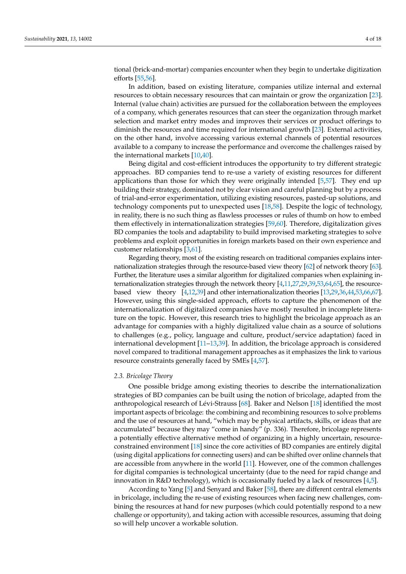tional (brick-and-mortar) companies encounter when they begin to undertake digitization efforts [\[55,](#page-16-1)[56\]](#page-16-2).

In addition, based on existing literature, companies utilize internal and external resources to obtain necessary resources that can maintain or grow the organization [\[23\]](#page-15-1). Internal (value chain) activities are pursued for the collaboration between the employees of a company, which generates resources that can steer the organization through market selection and market entry modes and improves their services or product offerings to diminish the resources and time required for international growth [\[23\]](#page-15-1). External activities, on the other hand, involve accessing various external channels of potential resources available to a company to increase the performance and overcome the challenges raised by the international markets [\[10,](#page-14-8)[40\]](#page-15-24).

Being digital and cost-efficient introduces the opportunity to try different strategic approaches. BD companies tend to re-use a variety of existing resources for different applications than those for which they were originally intended [\[5](#page-14-4)[,57\]](#page-16-3). They end up building their strategy, dominated not by clear vision and careful planning but by a process of trial-and-error experimentation, utilizing existing resources, pasted-up solutions, and technology components put to unexpected uses [\[18,](#page-14-15)[58\]](#page-16-4). Despite the logic of technology, in reality, there is no such thing as flawless processes or rules of thumb on how to embed them effectively in internationalization strategies [\[59,](#page-16-5)[60\]](#page-16-6). Therefore, digitalization gives BD companies the tools and adaptability to build improvised marketing strategies to solve problems and exploit opportunities in foreign markets based on their own experience and customer relationships [\[3](#page-14-2)[,61\]](#page-16-7).

Regarding theory, most of the existing research on traditional companies explains internationalization strategies through the resource-based view theory [\[62\]](#page-16-8) of network theory [\[63\]](#page-16-9). Further, the literature uses a similar algorithm for digitalized companies when explaining internationalization strategies through the network theory [\[4,](#page-14-3)[11,](#page-14-9)[27,](#page-15-5)[29,](#page-15-7)[39,](#page-15-14)[53,](#page-15-23)[64,](#page-16-10)[65\]](#page-16-11), the resourcebased view theory [\[4](#page-14-3)[,12](#page-14-19)[,39\]](#page-15-14) and other internationalization theories [\[13](#page-14-20)[,29](#page-15-7)[,36](#page-15-25)[,44](#page-15-18)[,53](#page-15-23)[,66](#page-16-12)[,67\]](#page-16-13). However, using this single-sided approach, efforts to capture the phenomenon of the internationalization of digitalized companies have mostly resulted in incomplete literature on the topic. However, this research tries to highlight the bricolage approach as an advantage for companies with a highly digitalized value chain as a source of solutions to challenges (e.g., policy, language and culture, product/service adaptation) faced in international development [\[11–](#page-14-9)[13,](#page-14-20)[39\]](#page-15-14). In addition, the bricolage approach is considered novel compared to traditional management approaches as it emphasizes the link to various resource constraints generally faced by SMEs [\[4,](#page-14-3)[57\]](#page-16-3).

#### *2.3. Bricolage Theory*

One possible bridge among existing theories to describe the internationalization strategies of BD companies can be built using the notion of bricolage, adapted from the anthropological research of Lévi-Strauss [\[68\]](#page-16-14). Baker and Nelson [\[18\]](#page-14-15) identified the most important aspects of bricolage: the combining and recombining resources to solve problems and the use of resources at hand, "which may be physical artifacts, skills, or ideas that are accumulated" because they may "come in handy" (p. 336). Therefore, bricolage represents a potentially effective alternative method of organizing in a highly uncertain, resourceconstrained environment [\[18\]](#page-14-15) since the core activities of BD companies are entirely digital (using digital applications for connecting users) and can be shifted over online channels that are accessible from anywhere in the world [\[11\]](#page-14-9). However, one of the common challenges for digital companies is technological uncertainty (due to the need for rapid change and innovation in R&D technology), which is occasionally fueled by a lack of resources [\[4,](#page-14-3)[5\]](#page-14-4).

According to Yang [\[5\]](#page-14-4) and Senyard and Baker [\[58\]](#page-16-4), there are different central elements in bricolage, including the re-use of existing resources when facing new challenges, combining the resources at hand for new purposes (which could potentially respond to a new challenge or opportunity), and taking action with accessible resources, assuming that doing so will help uncover a workable solution.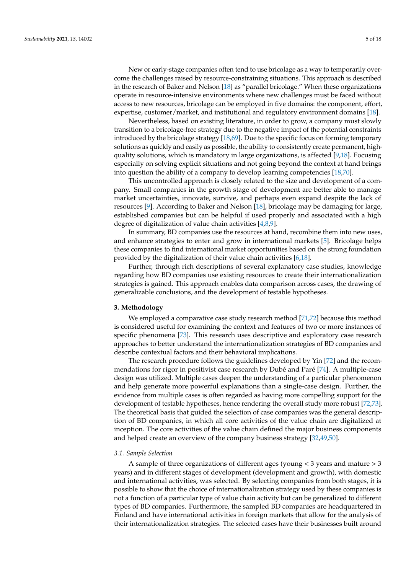New or early-stage companies often tend to use bricolage as a way to temporarily overcome the challenges raised by resource-constraining situations. This approach is described in the research of Baker and Nelson [\[18\]](#page-14-15) as "parallel bricolage." When these organizations operate in resource-intensive environments where new challenges must be faced without access to new resources, bricolage can be employed in five domains: the component, effort, expertise, customer/market, and institutional and regulatory environment domains [\[18\]](#page-14-15).

Nevertheless, based on existing literature, in order to grow, a company must slowly transition to a bricolage-free strategy due to the negative impact of the potential constraints introduced by the bricolage strategy [\[18,](#page-14-15)[69\]](#page-16-15). Due to the specific focus on forming temporary solutions as quickly and easily as possible, the ability to consistently create permanent, highquality solutions, which is mandatory in large organizations, is affected [\[9,](#page-14-14)[18\]](#page-14-15). Focusing especially on solving explicit situations and not going beyond the context at hand brings into question the ability of a company to develop learning competencies [\[18,](#page-14-15)[70\]](#page-16-16).

This uncontrolled approach is closely related to the size and development of a company. Small companies in the growth stage of development are better able to manage market uncertainties, innovate, survive, and perhaps even expand despite the lack of resources [\[9\]](#page-14-14). According to Baker and Nelson [\[18\]](#page-14-15), bricolage may be damaging for large, established companies but can be helpful if used properly and associated with a high degree of digitalization of value chain activities [\[4](#page-14-3)[,8](#page-14-7)[,9\]](#page-14-14).

In summary, BD companies use the resources at hand, recombine them into new uses, and enhance strategies to enter and grow in international markets [\[5\]](#page-14-4). Bricolage helps these companies to find international market opportunities based on the strong foundation provided by the digitalization of their value chain activities [\[6](#page-14-5)[,18\]](#page-14-15).

Further, through rich descriptions of several explanatory case studies, knowledge regarding how BD companies use existing resources to create their internationalization strategies is gained. This approach enables data comparison across cases, the drawing of generalizable conclusions, and the development of testable hypotheses.

#### **3. Methodology**

We employed a comparative case study research method [\[71](#page-16-17)[,72\]](#page-16-18) because this method is considered useful for examining the context and features of two or more instances of specific phenomena [\[73\]](#page-16-19). This research uses descriptive and exploratory case research approaches to better understand the internationalization strategies of BD companies and describe contextual factors and their behavioral implications.

The research procedure follows the guidelines developed by Yin [\[72\]](#page-16-18) and the recommendations for rigor in positivist case research by Dubé and Paré [\[74\]](#page-16-20). A multiple-case design was utilized. Multiple cases deepen the understanding of a particular phenomenon and help generate more powerful explanations than a single-case design. Further, the evidence from multiple cases is often regarded as having more compelling support for the development of testable hypotheses, hence rendering the overall study more robust [\[72](#page-16-18)[,73\]](#page-16-19). The theoretical basis that guided the selection of case companies was the general description of BD companies, in which all core activities of the value chain are digitalized at inception. The core activities of the value chain defined the major business components and helped create an overview of the company business strategy [\[32](#page-15-10)[,49](#page-15-26)[,50\]](#page-15-27).

#### *3.1. Sample Selection*

A sample of three organizations of different ages (young < 3 years and mature > 3 years) and in different stages of development (development and growth), with domestic and international activities, was selected. By selecting companies from both stages, it is possible to show that the choice of internationalization strategy used by these companies is not a function of a particular type of value chain activity but can be generalized to different types of BD companies. Furthermore, the sampled BD companies are headquartered in Finland and have international activities in foreign markets that allow for the analysis of their internationalization strategies. The selected cases have their businesses built around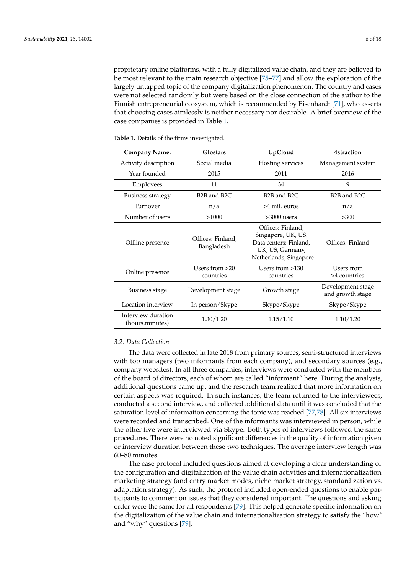proprietary online platforms, with a fully digitalized value chain, and they are believed to be most relevant to the main research objective [\[75](#page-16-21)[–77\]](#page-16-22) and allow the exploration of the largely untapped topic of the company digitalization phenomenon. The country and cases were not selected randomly but were based on the close connection of the author to the Finnish entrepreneurial ecosystem, which is recommended by Eisenhardt [\[71\]](#page-16-17), who asserts that choosing cases aimlessly is neither necessary nor desirable. A brief overview of the case companies is provided in Table [1.](#page-5-0)

| <b>Company Name:</b>                  | UpCloud<br><b>Glostars</b>                                                     |                                                                                                                 | <b>4straction</b>                     |  |
|---------------------------------------|--------------------------------------------------------------------------------|-----------------------------------------------------------------------------------------------------------------|---------------------------------------|--|
| Activity description                  | Social media                                                                   | Hosting services                                                                                                | Management system                     |  |
| Year founded                          | 2015                                                                           | 2011                                                                                                            | 2016                                  |  |
| Employees                             | 11                                                                             | 34                                                                                                              | 9                                     |  |
| <b>Business strategy</b>              | B <sub>2</sub> B and B <sub>2</sub> C<br>B <sub>2</sub> B and B <sub>2</sub> C |                                                                                                                 | B <sub>2</sub> B and B <sub>2</sub> C |  |
| Turnover                              | >4 mil. euros<br>n/a                                                           |                                                                                                                 | n/a                                   |  |
| Number of users                       | >1000                                                                          | $>3000$ users                                                                                                   | >300                                  |  |
| Offline presence                      | Offices: Finland.<br>Bangladesh                                                | Offices: Finland,<br>Singapore, UK, US.<br>Data centers: Finland,<br>UK, US, Germany,<br>Netherlands, Singapore | Offices: Finland                      |  |
| Online presence                       | Users from $>20$<br>countries                                                  | Users from $>130$<br>countries                                                                                  | Users from<br>>4 countries            |  |
| Business stage                        | Development stage                                                              | Growth stage                                                                                                    | Development stage<br>and growth stage |  |
| Location interview                    | In person/Skype                                                                | Skype/Skype                                                                                                     | Skype/Skype                           |  |
| Interview duration<br>(hours.minutes) | 1.30/1.20<br>1.15/1.10                                                         |                                                                                                                 | 1.10/1.20                             |  |

<span id="page-5-0"></span>**Table 1.** Details of the firms investigated.

## *3.2. Data Collection*

The data were collected in late 2018 from primary sources, semi-structured interviews with top managers (two informants from each company), and secondary sources (e.g., company websites). In all three companies, interviews were conducted with the members of the board of directors, each of whom are called "informant" here. During the analysis, additional questions came up, and the research team realized that more information on certain aspects was required. In such instances, the team returned to the interviewees, conducted a second interview, and collected additional data until it was concluded that the saturation level of information concerning the topic was reached [\[77](#page-16-22)[,78\]](#page-16-23). All six interviews were recorded and transcribed. One of the informants was interviewed in person, while the other five were interviewed via Skype. Both types of interviews followed the same procedures. There were no noted significant differences in the quality of information given or interview duration between these two techniques. The average interview length was 60–80 minutes.

The case protocol included questions aimed at developing a clear understanding of the configuration and digitalization of the value chain activities and internationalization marketing strategy (and entry market modes, niche market strategy, standardization vs. adaptation strategy). As such, the protocol included open-ended questions to enable participants to comment on issues that they considered important. The questions and asking order were the same for all respondents [\[79\]](#page-16-24). This helped generate specific information on the digitalization of the value chain and internationalization strategy to satisfy the "how" and "why" questions [\[79\]](#page-16-24).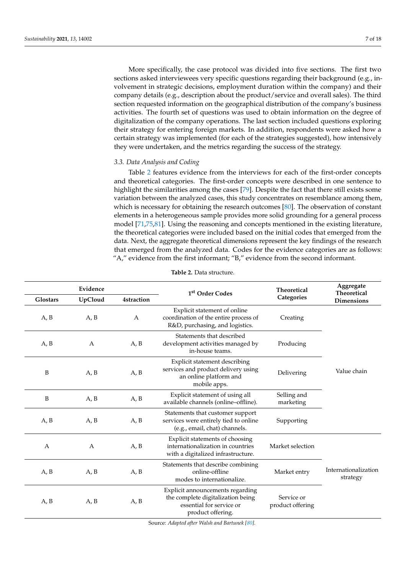More specifically, the case protocol was divided into five sections. The first two sections asked interviewees very specific questions regarding their background (e.g., involvement in strategic decisions, employment duration within the company) and their company details (e.g., description about the product/service and overall sales). The third section requested information on the geographical distribution of the company's business activities. The fourth set of questions was used to obtain information on the degree of digitalization of the company operations. The last section included questions exploring their strategy for entering foreign markets. In addition, respondents were asked how a certain strategy was implemented (for each of the strategies suggested), how intensively they were undertaken, and the metrics regarding the success of the strategy.

# *3.3. Data Analysis and Coding*

Table [2](#page-6-0) features evidence from the interviews for each of the first-order concepts and theoretical categories. The first-order concepts were described in one sentence to highlight the similarities among the cases [\[79\]](#page-16-24). Despite the fact that there still exists some variation between the analyzed cases, this study concentrates on resemblance among them, which is necessary for obtaining the research outcomes [\[80\]](#page-16-25). The observation of constant elements in a heterogeneous sample provides more solid grounding for a general process model [\[71,](#page-16-17)[75,](#page-16-21)[81\]](#page-16-26). Using the reasoning and concepts mentioned in the existing literature, the theoretical categories were included based on the initial codes that emerged from the data. Next, the aggregate theoretical dimensions represent the key findings of the research that emerged from the analyzed data. Codes for the evidence categories are as follows: "A," evidence from the first informant; "B," evidence from the second informant.

<span id="page-6-0"></span>

| Evidence<br>Glostars<br>UpCloud<br><b>4straction</b> |              | 1 <sup>st</sup> Order Codes | <b>Theoretical</b><br>Categories                                                                                       | Aggregate<br><b>Theoretical</b><br>Dimensions |                                  |
|------------------------------------------------------|--------------|-----------------------------|------------------------------------------------------------------------------------------------------------------------|-----------------------------------------------|----------------------------------|
| A, B                                                 | A, B         | A                           | Explicit statement of online<br>coordination of the entire process of<br>R&D, purchasing, and logistics.               | Creating                                      |                                  |
| A, B                                                 | A            | A, B                        | Statements that described<br>development activities managed by<br>in-house teams.                                      | Producing                                     |                                  |
| B                                                    | A, B         | A, B                        | Explicit statement describing<br>services and product delivery using<br>an online platform and<br>mobile apps.         | Delivering                                    | Value chain                      |
| B                                                    | A, B         | A, B                        | Explicit statement of using all<br>available channels (online-offline).                                                | Selling and<br>marketing                      |                                  |
| A, B                                                 | A, B         | A, B                        | Statements that customer support<br>services were entirely tied to online<br>(e.g., email, chat) channels.             | Supporting                                    |                                  |
| A                                                    | $\mathbf{A}$ | A, B                        | Explicit statements of choosing<br>internationalization in countries<br>with a digitalized infrastructure.             | Market selection                              |                                  |
| A, B                                                 | A, B         | A, B                        | Statements that describe combining<br>online-offline<br>modes to internationalize.                                     | Market entry                                  | Internationalization<br>strategy |
| A, B                                                 | A, B         | A, B                        | Explicit announcements regarding<br>the complete digitalization being<br>essential for service or<br>product offering. | Service or<br>product offering                |                                  |

**Table 2.** Data structure.

Source: *Adapted after Walsh and Bartunek [\[80\]](#page-16-25).*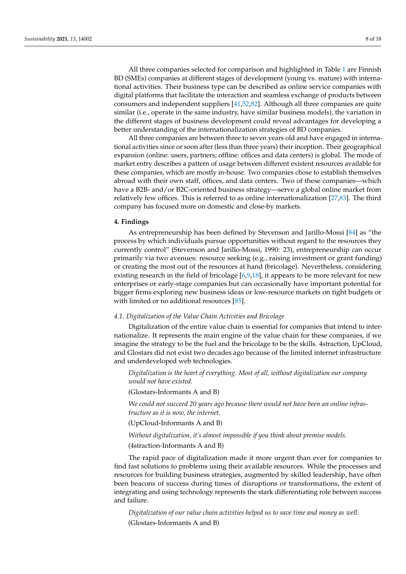All three companies selected for comparison and highlighted in Table [1](#page-5-0) are Finnish BD (SMEs) companies at different stages of development (young vs. mature) with international activities. Their business type can be described as online service companies with digital platforms that facilitate the interaction and seamless exchange of products between consumers and independent suppliers [\[41](#page-15-15)[,52](#page-15-22)[,82\]](#page-16-27). Although all three companies are quite similar (i.e., operate in the same industry, have similar business models), the variation in the different stages of business development could reveal advantages for developing a better understanding of the internationalization strategies of BD companies.

All three companies are between three to seven years old and have engaged in international activities since or soon after (less than three years) their inception. Their geographical expansion (online: users, partners; offline: offices and data centers) is global. The mode of market entry describes a pattern of usage between different existent resources available for these companies, which are mostly in-house. Two companies chose to establish themselves abroad with their own staff, offices, and data centers. Two of these companies—which have a B2B- and/or B2C-oriented business strategy—serve a global online market from relatively few offices. This is referred to as online internationalization [\[27](#page-15-5)[,83\]](#page-16-28). The third company has focused more on domestic and close-by markets.

### **4. Findings**

As entrepreneurship has been defined by Stevenson and Jarillo-Mossi [\[84\]](#page-16-29) as "the process by which individuals pursue opportunities without regard to the resources they currently control" (Stevenson and Jarillo-Mossi, 1990: 23), entrepreneurship can occur primarily via two avenues: resource seeking (e.g., raising investment or grant funding) or creating the most out of the resources at hand (bricolage). Nevertheless, considering existing research in the field of bricolage  $[6,9,18]$  $[6,9,18]$  $[6,9,18]$ , it appears to be more relevant for new enterprises or early-stage companies but can occasionally have important potential for bigger firms exploring new business ideas or low-resource markets on tight budgets or with limited or no additional resources [\[85\]](#page-16-30).

# *4.1. Digitalization of the Value Chain Activities and Bricolage*

Digitalization of the entire value chain is essential for companies that intend to internationalize. It represents the main engine of the value chain for these companies, if we imagine the strategy to be the fuel and the bricolage to be the skills. 4straction, UpCloud, and Glostars did not exist two decades ago because of the limited internet infrastructure and underdeveloped web technologies.

*Digitalization is the heart of everything. Most of all, without digitalization our company would not have existed.*

(Glostars-Informants A and B)

*We could not succeed 20 years ago because there would not have been an online infrastructure as it is now, the internet.*

(UpCloud-Informants A and B)

*Without digitalization, it's almost impossible if you think about premise models.*

(4straction-Informants A and B)

The rapid pace of digitalization made it more urgent than ever for companies to find fast solutions to problems using their available resources. While the processes and resources for building business strategies, augmented by skilled leadership, have often been beacons of success during times of disruptions or transformations, the extent of integrating and using technology represents the stark differentiating role between success and failure.

*Digitalization of our value chain activities helped us to save time and money as well.* (Glostars-Informants A and B)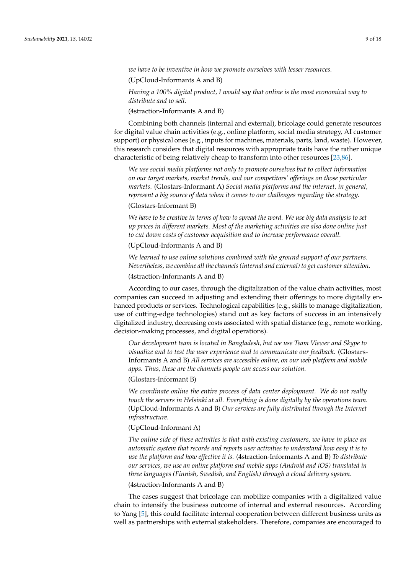*we have to be inventive in how we promote ourselves with lesser resources.*

(UpCloud-Informants A and B)

*Having a 100% digital product, I would say that online is the most economical way to distribute and to sell.*

(4straction-Informants A and B)

Combining both channels (internal and external), bricolage could generate resources for digital value chain activities (e.g., online platform, social media strategy, AI customer support) or physical ones (e.g., inputs for machines, materials, parts, land, waste). However, this research considers that digital resources with appropriate traits have the rather unique characteristic of being relatively cheap to transform into other resources [\[23,](#page-15-1)[86\]](#page-17-0).

*We use social media platforms not only to promote ourselves but to collect information on our target markets, market trends, and our competitors' offerings on those particular markets.* (Glostars-Informant A) *Social media platforms and the internet, in general, represent a big source of data when it comes to our challenges regarding the strategy.*

# (Glostars-Informant B)

*We have to be creative in terms of how to spread the word. We use big data analysis to set up prices in different markets. Most of the marketing activities are also done online just to cut down costs of customer acquisition and to increase performance overall.*

(UpCloud-Informants A and B)

*We learned to use online solutions combined with the ground support of our partners. Nevertheless, we combine all the channels (internal and external) to get customer attention.*

(4straction-Informants A and B)

According to our cases, through the digitalization of the value chain activities, most companies can succeed in adjusting and extending their offerings to more digitally enhanced products or services. Technological capabilities (e.g., skills to manage digitalization, use of cutting-edge technologies) stand out as key factors of success in an intensively digitalized industry, decreasing costs associated with spatial distance (e.g., remote working, decision-making processes, and digital operations).

*Our development team is located in Bangladesh, but we use Team Viewer and Skype to visualize and to test the user experience and to communicate our feedback.* (Glostars-Informants A and B) *All services are accessible online, on our web platform and mobile apps. Thus, these are the channels people can access our solution.*

(Glostars-Informant B)

*We coordinate online the entire process of data center deployment. We do not really touch the servers in Helsinki at all. Everything is done digitally by the operations team.* (UpCloud-Informants A and B) *Our services are fully distributed through the Internet infrastructure.*

# (UpCloud-Informant A)

*The online side of these activities is that with existing customers, we have in place an automatic system that records and reports user activities to understand how easy it is to use the platform and how effective it is.* (4straction-Informants A and B) *To distribute our services, we use an online platform and mobile apps (Android and iOS) translated in three languages (Finnish, Swedish, and English) through a cloud delivery system*.

(4straction-Informants A and B)

The cases suggest that bricolage can mobilize companies with a digitalized value chain to intensify the business outcome of internal and external resources. According to Yang [\[5\]](#page-14-4), this could facilitate internal cooperation between different business units as well as partnerships with external stakeholders. Therefore, companies are encouraged to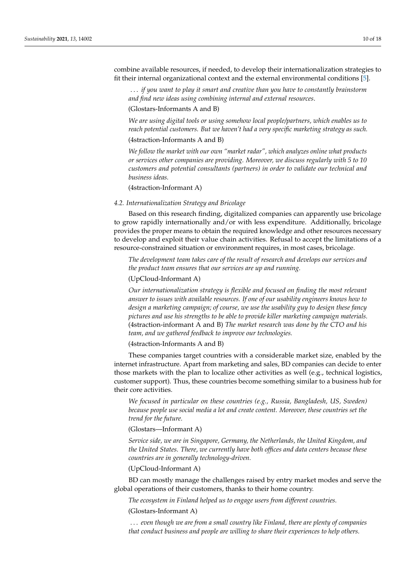combine available resources, if needed, to develop their internationalization strategies to fit their internal organizational context and the external environmental conditions [\[5\]](#page-14-4).

. . . *if you want to play it smart and creative than you have to constantly brainstorm and find new ideas using combining internal and external resources*.

## (Glostars-Informants A and B)

*We are using digital tools or using somehow local people/partners, which enables us to reach potential customers. But we haven't had a very specific marketing strategy as such.*

## (4straction-Informants A and B)

*We follow the market with our own "market radar", which analyzes online what products or services other companies are providing. Moreover, we discuss regularly with 5 to 10 customers and potential consultants (partners) in order to validate our technical and business ideas.*

(4straction-Informant A)

## *4.2. Internationalization Strategy and Bricolage*

Based on this research finding, digitalized companies can apparently use bricolage to grow rapidly internationally and/or with less expenditure. Additionally, bricolage provides the proper means to obtain the required knowledge and other resources necessary to develop and exploit their value chain activities. Refusal to accept the limitations of a resource-constrained situation or environment requires, in most cases, bricolage.

*The development team takes care of the result of research and develops our services and the product team ensures that our services are up and running.*

## (UpCloud-Informant A)

*Our internationalization strategy is flexible and focused on finding the most relevant answer to issues with available resources. If one of our usability engineers knows how to design a marketing campaign; of course, we use the usability guy to design these fancy pictures and use his strengths to be able to provide killer marketing campaign materials.* (4straction-informant A and B) *The market research was done by the CTO and his team, and we gathered feedback to improve our technologies.*

(4straction-Informants A and B)

These companies target countries with a considerable market size, enabled by the internet infrastructure. Apart from marketing and sales, BD companies can decide to enter those markets with the plan to localize other activities as well (e.g., technical logistics, customer support). Thus, these countries become something similar to a business hub for their core activities.

*We focused in particular on these countries (e.g., Russia, Bangladesh, US, Sweden) because people use social media a lot and create content. Moreover, these countries set the trend for the future.*

# (Glostars—Informant A)

*Service side, we are in Singapore, Germany, the Netherlands, the United Kingdom, and the United States. There, we currently have both offices and data centers because these countries are in generally technology-driven.*

# (UpCloud-Informant A)

BD can mostly manage the challenges raised by entry market modes and serve the global operations of their customers, thanks to their home country.

*The ecosystem in Finland helped us to engage users from different countries.* (Glostars-Informant A)

. . . *even though we are from a small country like Finland, there are plenty of companies that conduct business and people are willing to share their experiences to help others.*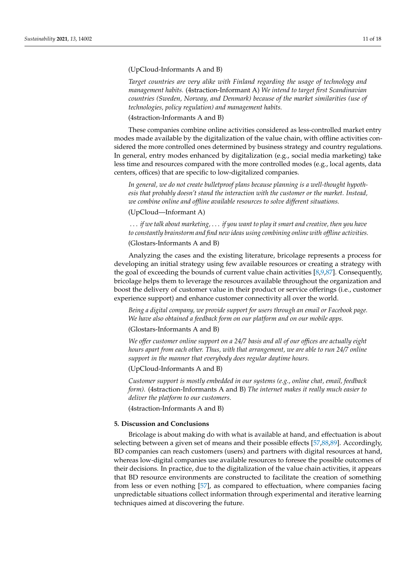# (UpCloud-Informants A and B)

*Target countries are very alike with Finland regarding the usage of technology and management habits.* (4straction-Informant A) *We intend to target first Scandinavian countries (Sweden, Norway, and Denmark) because of the market similarities (use of technologies, policy regulation) and management habits.*

# (4straction-Informants A and B)

These companies combine online activities considered as less-controlled market entry modes made available by the digitalization of the value chain, with offline activities considered the more controlled ones determined by business strategy and country regulations. In general, entry modes enhanced by digitalization (e.g., social media marketing) take less time and resources compared with the more controlled modes (e.g., local agents, data centers, offices) that are specific to low-digitalized companies.

*In general, we do not create bulletproof plans because planning is a well-thought hypothesis that probably doesn't stand the interaction with the customer or the market. Instead, we combine online and offline available resources to solve different situations.*

## (UpCloud—Informant A)

. . . *if we talk about marketing,* . . . *if you want to play it smart and creative, then you have to constantly brainstorm and find new ideas using combining online with offline activities.*

(Glostars-Informants A and B)

Analyzing the cases and the existing literature, bricolage represents a process for developing an initial strategy using few available resources or creating a strategy with the goal of exceeding the bounds of current value chain activities [\[8](#page-14-7)[,9](#page-14-14)[,87\]](#page-17-1). Consequently, bricolage helps them to leverage the resources available throughout the organization and boost the delivery of customer value in their product or service offerings (i.e., customer experience support) and enhance customer connectivity all over the world.

*Being a digital company, we provide support for users through an email or Facebook page. We have also obtained a feedback form on our platform and on our mobile apps.*

## (Glostars-Informants A and B)

*We offer customer online support on a 24/7 basis and all of our offices are actually eight hours apart from each other. Thus, with that arrangement, we are able to run 24/7 online support in the manner that everybody does regular daytime hours.*

(UpCloud-Informants A and B)

*Customer support is mostly embedded in our systems (e.g., online chat, email, feedback form).* (4straction-Informants A and B) *The internet makes it really much easier to deliver the platform to our customers.*

(4straction-Informants A and B)

### **5. Discussion and Conclusions**

Bricolage is about making do with what is available at hand, and effectuation is about selecting between a given set of means and their possible effects [\[57](#page-16-3)[,88](#page-17-2)[,89\]](#page-17-3). Accordingly, BD companies can reach customers (users) and partners with digital resources at hand, whereas low-digital companies use available resources to foresee the possible outcomes of their decisions. In practice, due to the digitalization of the value chain activities, it appears that BD resource environments are constructed to facilitate the creation of something from less or even nothing [\[57\]](#page-16-3), as compared to effectuation, where companies facing unpredictable situations collect information through experimental and iterative learning techniques aimed at discovering the future.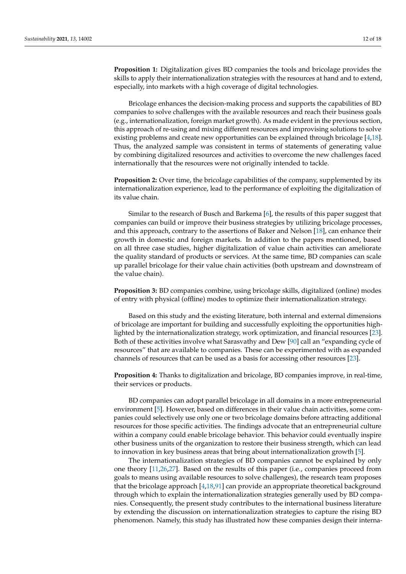**Proposition 1:** Digitalization gives BD companies the tools and bricolage provides the skills to apply their internationalization strategies with the resources at hand and to extend, especially, into markets with a high coverage of digital technologies.

Bricolage enhances the decision-making process and supports the capabilities of BD companies to solve challenges with the available resources and reach their business goals (e.g., internationalization, foreign market growth). As made evident in the previous section, this approach of re-using and mixing different resources and improvising solutions to solve existing problems and create new opportunities can be explained through bricolage [\[4](#page-14-3)[,18\]](#page-14-15). Thus, the analyzed sample was consistent in terms of statements of generating value by combining digitalized resources and activities to overcome the new challenges faced internationally that the resources were not originally intended to tackle.

**Proposition 2:** Over time, the bricolage capabilities of the company, supplemented by its internationalization experience, lead to the performance of exploiting the digitalization of its value chain.

Similar to the research of Busch and Barkema [\[6\]](#page-14-5), the results of this paper suggest that companies can build or improve their business strategies by utilizing bricolage processes, and this approach, contrary to the assertions of Baker and Nelson [\[18\]](#page-14-15), can enhance their growth in domestic and foreign markets. In addition to the papers mentioned, based on all three case studies, higher digitalization of value chain activities can ameliorate the quality standard of products or services. At the same time, BD companies can scale up parallel bricolage for their value chain activities (both upstream and downstream of the value chain).

**Proposition 3:** BD companies combine, using bricolage skills, digitalized (online) modes of entry with physical (offline) modes to optimize their internationalization strategy.

Based on this study and the existing literature, both internal and external dimensions of bricolage are important for building and successfully exploiting the opportunities highlighted by the internationalization strategy, work optimization, and financial resources [\[23\]](#page-15-1). Both of these activities involve what Sarasvathy and Dew [\[90\]](#page-17-4) call an "expanding cycle of resources" that are available to companies. These can be experimented with as expanded channels of resources that can be used as a basis for accessing other resources [\[23\]](#page-15-1).

**Proposition 4:** Thanks to digitalization and bricolage, BD companies improve, in real-time, their services or products.

BD companies can adopt parallel bricolage in all domains in a more entrepreneurial environment [\[5\]](#page-14-4). However, based on differences in their value chain activities, some companies could selectively use only one or two bricolage domains before attracting additional resources for those specific activities. The findings advocate that an entrepreneurial culture within a company could enable bricolage behavior. This behavior could eventually inspire other business units of the organization to restore their business strength, which can lead to innovation in key business areas that bring about internationalization growth [\[5\]](#page-14-4).

The internationalization strategies of BD companies cannot be explained by only one theory [\[11,](#page-14-9)[26,](#page-15-4)[27\]](#page-15-5). Based on the results of this paper (i.e., companies proceed from goals to means using available resources to solve challenges), the research team proposes that the bricolage approach [\[4](#page-14-3)[,18](#page-14-15)[,91\]](#page-17-5) can provide an appropriate theoretical background through which to explain the internationalization strategies generally used by BD companies. Consequently, the present study contributes to the international business literature by extending the discussion on internationalization strategies to capture the rising BD phenomenon. Namely, this study has illustrated how these companies design their interna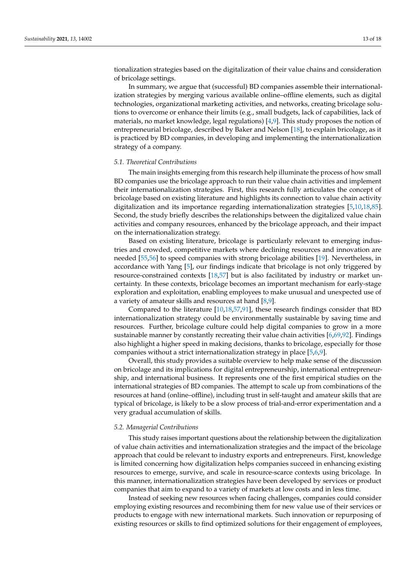tionalization strategies based on the digitalization of their value chains and consideration of bricolage settings.

In summary, we argue that (successful) BD companies assemble their internationalization strategies by merging various available online–offline elements, such as digital technologies, organizational marketing activities, and networks, creating bricolage solutions to overcome or enhance their limits (e.g., small budgets, lack of capabilities, lack of materials, no market knowledge, legal regulations) [\[4](#page-14-3)[,9\]](#page-14-14). This study proposes the notion of entrepreneurial bricolage, described by Baker and Nelson [\[18\]](#page-14-15), to explain bricolage, as it is practiced by BD companies, in developing and implementing the internationalization strategy of a company.

#### *5.1. Theoretical Contributions*

The main insights emerging from this research help illuminate the process of how small BD companies use the bricolage approach to run their value chain activities and implement their internationalization strategies. First, this research fully articulates the concept of bricolage based on existing literature and highlights its connection to value chain activity digitalization and its importance regarding internationalization strategies [\[5,](#page-14-4)[10,](#page-14-8)[18,](#page-14-15)[85\]](#page-16-30). Second, the study briefly describes the relationships between the digitalized value chain activities and company resources, enhanced by the bricolage approach, and their impact on the internationalization strategy.

Based on existing literature, bricolage is particularly relevant to emerging industries and crowded, competitive markets where declining resources and innovation are needed [\[55](#page-16-1)[,56\]](#page-16-2) to speed companies with strong bricolage abilities [\[19\]](#page-14-16). Nevertheless, in accordance with Yang [\[5\]](#page-14-4), our findings indicate that bricolage is not only triggered by resource-constrained contexts [\[18,](#page-14-15)[57\]](#page-16-3) but is also facilitated by industry or market uncertainty. In these contexts, bricolage becomes an important mechanism for early-stage exploration and exploitation, enabling employees to make unusual and unexpected use of a variety of amateur skills and resources at hand [\[8](#page-14-7)[,9\]](#page-14-14).

Compared to the literature [\[10,](#page-14-8)[18,](#page-14-15)[57,](#page-16-3)[91\]](#page-17-5), these research findings consider that BD internationalization strategy could be environmentally sustainable by saving time and resources. Further, bricolage culture could help digital companies to grow in a more sustainable manner by constantly recreating their value chain activities [\[6,](#page-14-5)[69,](#page-16-15)[92\]](#page-17-6). Findings also highlight a higher speed in making decisions, thanks to bricolage, especially for those companies without a strict internationalization strategy in place [\[5](#page-14-4)[,6](#page-14-5)[,9\]](#page-14-14).

Overall, this study provides a suitable overview to help make sense of the discussion on bricolage and its implications for digital entrepreneurship, international entrepreneurship, and international business. It represents one of the first empirical studies on the international strategies of BD companies. The attempt to scale up from combinations of the resources at hand (online–offline), including trust in self-taught and amateur skills that are typical of bricolage, is likely to be a slow process of trial-and-error experimentation and a very gradual accumulation of skills.

#### *5.2. Managerial Contributions*

This study raises important questions about the relationship between the digitalization of value chain activities and internationalization strategies and the impact of the bricolage approach that could be relevant to industry exports and entrepreneurs. First, knowledge is limited concerning how digitalization helps companies succeed in enhancing existing resources to emerge, survive, and scale in resource-scarce contexts using bricolage. In this manner, internationalization strategies have been developed by services or product companies that aim to expand to a variety of markets at low costs and in less time.

Instead of seeking new resources when facing challenges, companies could consider employing existing resources and recombining them for new value use of their services or products to engage with new international markets. Such innovation or repurposing of existing resources or skills to find optimized solutions for their engagement of employees,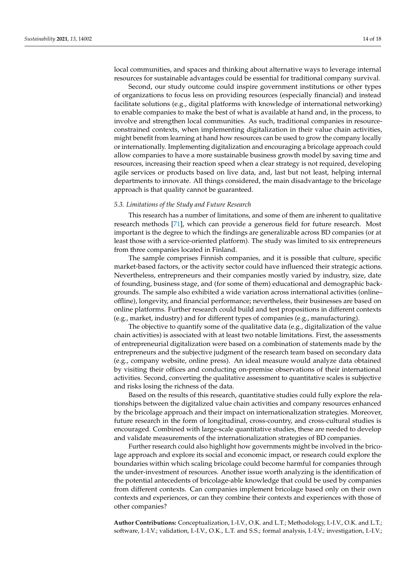local communities, and spaces and thinking about alternative ways to leverage internal resources for sustainable advantages could be essential for traditional company survival.

Second, our study outcome could inspire government institutions or other types of organizations to focus less on providing resources (especially financial) and instead facilitate solutions (e.g., digital platforms with knowledge of international networking) to enable companies to make the best of what is available at hand and, in the process, to involve and strengthen local communities. As such, traditional companies in resourceconstrained contexts, when implementing digitalization in their value chain activities, might benefit from learning at hand how resources can be used to grow the company locally or internationally. Implementing digitalization and encouraging a bricolage approach could allow companies to have a more sustainable business growth model by saving time and resources, increasing their reaction speed when a clear strategy is not required, developing agile services or products based on live data, and, last but not least, helping internal departments to innovate. All things considered, the main disadvantage to the bricolage approach is that quality cannot be guaranteed.

## *5.3. Limitations of the Study and Future Research*

This research has a number of limitations, and some of them are inherent to qualitative research methods [\[71\]](#page-16-17), which can provide a generous field for future research. Most important is the degree to which the findings are generalizable across BD companies (or at least those with a service-oriented platform). The study was limited to six entrepreneurs from three companies located in Finland.

The sample comprises Finnish companies, and it is possible that culture, specific market-based factors, or the activity sector could have influenced their strategic actions. Nevertheless, entrepreneurs and their companies mostly varied by industry, size, date of founding, business stage, and (for some of them) educational and demographic backgrounds. The sample also exhibited a wide variation across international activities (online– offline), longevity, and financial performance; nevertheless, their businesses are based on online platforms. Further research could build and test propositions in different contexts (e.g., market, industry) and for different types of companies (e.g., manufacturing).

The objective to quantify some of the qualitative data (e.g., digitalization of the value chain activities) is associated with at least two notable limitations. First, the assessments of entrepreneurial digitalization were based on a combination of statements made by the entrepreneurs and the subjective judgment of the research team based on secondary data (e.g., company website, online press). An ideal measure would analyze data obtained by visiting their offices and conducting on-premise observations of their international activities. Second, converting the qualitative assessment to quantitative scales is subjective and risks losing the richness of the data.

Based on the results of this research, quantitative studies could fully explore the relationships between the digitalized value chain activities and company resources enhanced by the bricolage approach and their impact on internationalization strategies. Moreover, future research in the form of longitudinal, cross-country, and cross-cultural studies is encouraged. Combined with large-scale quantitative studies, these are needed to develop and validate measurements of the internationalization strategies of BD companies.

Further research could also highlight how governments might be involved in the bricolage approach and explore its social and economic impact, or research could explore the boundaries within which scaling bricolage could become harmful for companies through the under-investment of resources. Another issue worth analyzing is the identification of the potential antecedents of bricolage-able knowledge that could be used by companies from different contexts. Can companies implement bricolage based only on their own contexts and experiences, or can they combine their contexts and experiences with those of other companies?

**Author Contributions:** Conceptualization, I.-I.V., O.K. and L.T.; Methodology, I.-I.V., O.K. and L.T.; software, I.-I.V.; validation, I.-I.V., O.K., L.T. and S.S.; formal analysis, I.-I.V.; investigation, I.-I.V.;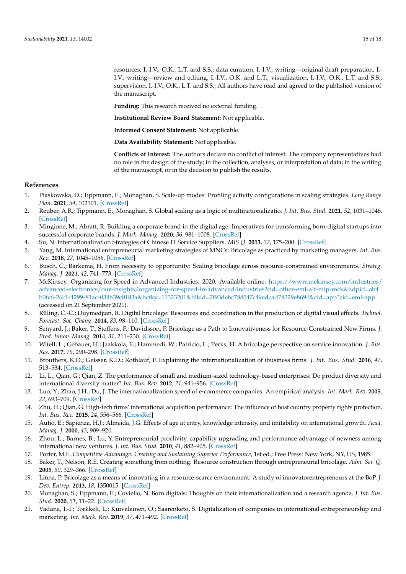resources, I.-I.V., O.K., L.T. and S.S.; data curation, I.-I.V.; writing—original draft preparation, I.- I.V.; writing—review and editing, I.-I.V., O.K. and L.T.; visualization, I.-I.V., O.K., L.T. and S.S.; supervision, I.-I.V., O.K., L.T. and S.S.; All authors have read and agreed to the published version of the manuscript.

**Funding:** This research received no external funding.

**Institutional Review Board Statement:** Not applicable.

**Informed Consent Statement:** Not applicable.

**Data Availability Statement:** Not applicable.

**Conflicts of Interest:** The authors declare no conflict of interest. The company representatives had no role in the design of the study; in the collection, analyses, or interpretation of data; in the writing of the manuscript, or in the decision to publish the results.

## **References**

- <span id="page-14-0"></span>1. Piaskowska, D.; Tippmann, E.; Monaghan, S. Scale-up modes: Profiling activity configurations in scaling strategies. *Long Range Plan.* **2021**, *54*, 102101. [\[CrossRef\]](http://doi.org/10.1016/j.lrp.2021.102101)
- <span id="page-14-1"></span>2. Reuber, A.R.; Tippmann, E.; Monaghan, S. Global scaling as a logic of multinationalizatio. *J. Int. Bus. Stud.* **2021**, *52*, 1031–1046. [\[CrossRef\]](http://doi.org/10.1057/s41267-021-00417-2)
- <span id="page-14-2"></span>3. Mingione, M.; Abratt, R. Building a corporate brand in the digital age: Imperatives for transforming born-digital startups into successful corporate brands. *J. Mark. Manag.* **2020**, *36*, 981–1008. [\[CrossRef\]](http://doi.org/10.1080/0267257X.2020.1750453)
- <span id="page-14-3"></span>4. Su, N. Internationalization Strategies of Chinese IT Service Suppliers. *MIS Q.* **2013**, *37*, 175–200. [\[CrossRef\]](http://doi.org/10.25300/MISQ/2013/37.1.08)
- <span id="page-14-4"></span>5. Yang, M. International entrepreneurial marketing strategies of MNCs: Bricolage as practiced by marketing managers. *Int. Bus. Rev.* **2018**, *27*, 1045–1056. [\[CrossRef\]](http://doi.org/10.1016/j.ibusrev.2018.03.004)
- <span id="page-14-5"></span>6. Busch, C.; Barkema, H. From necessity to opportunity: Scaling bricolage across resource-constrained environments. *Strateg. Manag. J.* **2021**, *42*, 741–773. [\[CrossRef\]](http://doi.org/10.1002/smj.3237)
- <span id="page-14-6"></span>7. McKinsey. Organizing for Speed in Advanced Industries. 2020. Available online: [https://www.mckinsey.com/industries/](https://www.mckinsey.com/industries/advanced-electronics/our-insights/organizing-for-speed-in-advanced-industries?cid=other-eml-alt-mip-mck&hdpid=ab4b0fc6-26c1-4299-81ac-034b39c0183a&hctky=11323201&hlkid=7f93debc788547c49edcad78329e8694&cid=app?cid=eml-app) [advanced-electronics/our-insights/organizing-for-speed-in-advanced-industries?cid=other-eml-alt-mip-mck&hdpid=ab4](https://www.mckinsey.com/industries/advanced-electronics/our-insights/organizing-for-speed-in-advanced-industries?cid=other-eml-alt-mip-mck&hdpid=ab4b0fc6-26c1-4299-81ac-034b39c0183a&hctky=11323201&hlkid=7f93debc788547c49edcad78329e8694&cid=app?cid=eml-app) [b0fc6-26c1-4299-81ac-034b39c0183a&hctky=11323201&hlkid=7f93debc788547c49edcad78329e8694&cid=app?cid=eml-app](https://www.mckinsey.com/industries/advanced-electronics/our-insights/organizing-for-speed-in-advanced-industries?cid=other-eml-alt-mip-mck&hdpid=ab4b0fc6-26c1-4299-81ac-034b39c0183a&hctky=11323201&hlkid=7f93debc788547c49edcad78329e8694&cid=app?cid=eml-app) (accessed on 21 September 2021).
- <span id="page-14-7"></span>8. Rüling, C.-C.; Duymedjian, R. Digital bricolage: Resources and coordination in the production of digital visual effects. *Technol. Forecast. Soc. Chang.* **2014**, *83*, 98–110. [\[CrossRef\]](http://doi.org/10.1016/j.techfore.2013.05.003)
- <span id="page-14-14"></span>9. Senyard, J.; Baker, T.; Steffens, P.; Davidsson, P. Bricolage as a Path to Innovativeness for Resource-Constrained New Firms. *J. Prod. Innov. Manag.* **2014**, *31*, 211–230. [\[CrossRef\]](http://doi.org/10.1111/jpim.12091)
- <span id="page-14-8"></span>10. Witell, L.; Gebauer, H.; Jaakkola, E.; Hammedi, W.; Patricio, L.; Perks, H. A bricolage perspective on service innovation. *J. Bus. Res.* **2017**, *79*, 290–298. [\[CrossRef\]](http://doi.org/10.1016/j.jbusres.2017.03.021)
- <span id="page-14-9"></span>11. Brouthers, K.D.; Geisser, K.D.; Rothlauf, F. Explaining the internationalization of ibusiness firms. *J. Int. Bus. Stud.* **2016**, *47*, 513–534. [\[CrossRef\]](http://doi.org/10.1057/jibs.2015.20)
- <span id="page-14-19"></span>12. Li, L.; Qian, G.; Qian, Z. The performance of small and medium-sized technology-based enterprises: Do product diversity and international diversity matter? *Int. Bus. Rev.* **2012**, *21*, 941–956. [\[CrossRef\]](http://doi.org/10.1016/j.ibusrev.2011.11.003)
- <span id="page-14-20"></span>13. Luo, Y.; Zhao, J.H.; Du, J. The internationalization speed of e-commerce companies: An empirical analysis. *Int. Mark. Rev.* **2005**, *22*, 693–709. [\[CrossRef\]](http://doi.org/10.1108/02651330510630294)
- <span id="page-14-10"></span>14. Zhu, H.; Qian, G. High-tech firms' international acquisition performance: The influence of host country property rights protection. *Int. Bus. Rev.* **2015**, *24*, 556–566. [\[CrossRef\]](http://doi.org/10.1016/j.ibusrev.2014.10.013)
- <span id="page-14-11"></span>15. Autio, E.; Sapienza, H.J.; Almeida, J.G. Effects of age at entry, knowledge intensity, and imitability on international growth. *Acad. Manag. J.* **2000**, *43*, 909–924.
- <span id="page-14-12"></span>16. Zhou, L.; Barnes, B.; Lu, Y. Entrepreneurial proclivity, capability upgrading and performance advantage of newness among international new ventures. *J. Int. Bus. Stud.* **2010**, *41*, 882–905. [\[CrossRef\]](http://doi.org/10.1057/jibs.2009.87)
- <span id="page-14-13"></span>17. Porter, M.E. *Competitive Advantage: Creating and Sustaining Superior Performance*, 1st ed.; Free Press: New York, NY, US, 1985.
- <span id="page-14-15"></span>18. Baker, T.; Nelson, R.E. Creating something from nothing: Resource construction through entrepreneurial bricolage. *Adm. Sci. Q.* **2005**, *50*, 329–366. [\[CrossRef\]](http://doi.org/10.2189/asqu.2005.50.3.329)
- <span id="page-14-16"></span>19. Linna, P. Bricolage as a means of innovating in a resource-scarce environment: A study of innovatorentrepreneurs at the BoP. *J. Dev. Entrep.* **2013**, *18*, 1350015. [\[CrossRef\]](http://doi.org/10.1142/S1084946713500155)
- <span id="page-14-17"></span>20. Monaghan, S.; Tippmann, E.; Coviello, N. Born digitals: Thoughts on their internationalization and a research agenda. *J. Int. Bus. Stud.* **2020**, *51*, 11–22. [\[CrossRef\]](http://doi.org/10.1057/s41267-019-00290-0)
- <span id="page-14-18"></span>21. Vadana, I.-I.; Torkkeli, L.; Kuivalainen, O.; Saarenketo, S. Digitalization of companies in international entrepreneurship and marketing. *Int. Mark. Rev.* **2019**, *37*, 471–492. [\[CrossRef\]](http://doi.org/10.1108/IMR-04-2018-0129)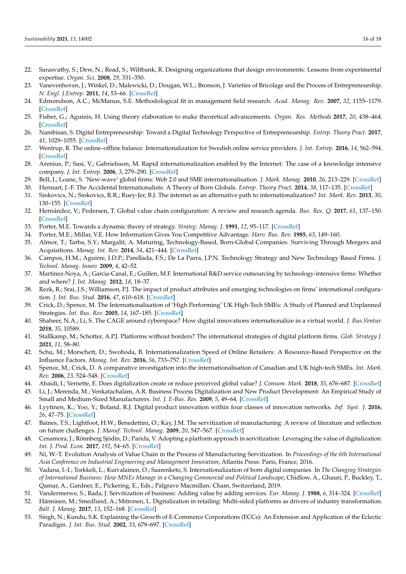- <span id="page-15-0"></span>22. Sarasvathy, S.; Dew, N.; Read, S.; Wiltbank, R. Designing organizations that design environments: Lessons from experimental expertise. *Organ. Sci.* **2008**, *29*, 331–350.
- <span id="page-15-1"></span>23. Vanevenhoven, J.; Winkel, D.; Malewicki, D.; Dougan, W.L.; Bronson, J. Varieties of Bricolage and the Process of Entrepreneurship. *N. Engl. J.Entrep.* **2011**, *14*, 53–66. [\[CrossRef\]](http://doi.org/10.1108/NEJE-14-02-2011-B005)
- <span id="page-15-2"></span>24. Edmondson, A.C.; McManus, S.E. Methodological fit in management field research. *Acad. Manag. Rev.* **2007**, *32*, 1155–1179. [\[CrossRef\]](http://doi.org/10.5465/amr.2007.26586086)
- <span id="page-15-3"></span>25. Fisher, G.; Aguinis, H. Using theory elaboration to make theoretical advancements. *Organ. Res. Methods* **2017**, *20*, 438–464. [\[CrossRef\]](http://doi.org/10.1177/1094428116689707)
- <span id="page-15-4"></span>26. Nambisan, S. Digital Entrepreneurship: Toward a Digital Technology Perspective of Entrepreneurship. *Entrep. Theory Pract.* **2017**, *41*, 1029–1055. [\[CrossRef\]](http://doi.org/10.1111/etap.12254)
- <span id="page-15-5"></span>27. Wentrup, R. The online–offline balance: Internationalization for Swedish online service providers. *J. Int. Entrep.* **2016**, *14*, 562–594. [\[CrossRef\]](http://doi.org/10.1007/s10843-016-0171-2)
- <span id="page-15-6"></span>28. Arenius, P.; Sasi, V.; Gabrielsson, M. Rapid internationalization enabled by the Internet: The case of a knowledge intensive company. *J. Int. Entrep.* **2006**, *3*, 279–290. [\[CrossRef\]](http://doi.org/10.1007/s10843-006-7856-x)
- <span id="page-15-7"></span>29. Bell, J.; Loane, S. 'New-wave' global firms: Web 2.0 and SME internationalisation. *J. Mark. Manag.* **2010**, *26*, 213–229. [\[CrossRef\]](http://doi.org/10.1080/02672571003594648)
- <span id="page-15-8"></span>30. Hennart, J.-F. The Accidental Internationalists: A Theory of Born Globals. *Entrep. Theory Pract.* **2014**, *38*, 117–135. [\[CrossRef\]](http://doi.org/10.1111/etap.12076)
- <span id="page-15-9"></span>31. Sinkovics, N.; Sinkovics, R.R.; Ruey-Jer, B.J. The internet as an alternative path to internationalization? *Int. Mark. Rev.* **2013**, *30*, 130–155. [\[CrossRef\]](http://doi.org/10.1108/02651331311314556)
- <span id="page-15-10"></span>32. Hernández, V.; Pedersen, T. Global value chain configuration: A review and research agenda. *Bus. Res. Q.* **2017**, *61*, 137–150. [\[CrossRef\]](http://doi.org/10.1016/j.brq.2016.11.001)
- 33. Porter, M.E. Towards a dynamic theory of strategy. *Strateg. Manag. J.* **1991**, *12*, 95–117. [\[CrossRef\]](http://doi.org/10.1002/smj.4250121008)
- <span id="page-15-11"></span>34. Porter, M.E.; Millar, V.E. How Information Gives You Competitive Advantage. *Harv. Bus. Rev.* **1985**, *63*, 149–160.
- <span id="page-15-12"></span>35. Almor, T.; Tarba, S.Y.; Margalit, A. Maturing, Technology-Based, Born-Global Companies: Surviving Through Mergers and Acquisitions. *Manag. Int. Rev.* **2014**, *54*, 421–444. [\[CrossRef\]](http://doi.org/10.1007/s11575-014-0212-9)
- <span id="page-15-25"></span>36. Campos, H.M.; Aguirre, I.D.P.; Parellada, F.S.; De La Parra, J.P.N. Technology Strategy and New Technology Based Firms. *J. Technol. Manag. Innov.* **2009**, *4*, 42–52.
- 37. Martinez-Noya, A.; Garcia-Canal, E.; Guillen, M.F. International R&D service outsourcing by technology-intensive firms: Whether and where? *J. Int. Manag.* **2012**, *18*, 18–37.
- <span id="page-15-13"></span>38. Rezk, R.; Srai, J.S.; Williamson, P.J. The impact of product attributes and emerging technologies on firms' international configuration. *J. Int. Bus. Stud.* **2016**, *47*, 610–618. [\[CrossRef\]](http://doi.org/10.1057/jibs.2016.9)
- <span id="page-15-14"></span>39. Crick, D.; Spence, M. The Internationalisation of 'High Performing' UK High-Tech SMEs: A Study of Planned and Unplanned Strategies. *Int. Bus. Rev.* **2005**, *14*, 167–185. [\[CrossRef\]](http://doi.org/10.1016/j.ibusrev.2004.04.007)
- <span id="page-15-24"></span>40. Shaheer, N.A.; Li, S. The CAGE around cyberspace? How digital innovations internationalize in a virtual world. *J. Bus.Ventur.* **2018**, *35*, 10589.
- <span id="page-15-15"></span>41. Stallkamp, M.; Schotter, A.P.J. Platforms without borders? The international strategies of digital platform firms. *Glob. Strategy J.* **2021**, *11*, 58–80.
- <span id="page-15-16"></span>42. Schu, M.; Morschett, D.; Swoboda, B. Internationalization Speed of Online Retailers: A Resource-Based Perspective on the Influence Factors. *Manag. Int. Rev.* **2016**, *56*, 733–757. [\[CrossRef\]](http://doi.org/10.1007/s11575-016-0279-6)
- <span id="page-15-17"></span>43. Spence, M.; Crick, D. A comparative investigation into the internationalisation of Canadian and UK high-tech SMEs. *Int. Mark. Rev.* **2006**, *23*, 524–548. [\[CrossRef\]](http://doi.org/10.1108/02651330610703436)
- <span id="page-15-18"></span>44. Abaidi, I.; Vernette, E. Does digitalization create or reduce perceived global value? *J. Consum. Mark.* **2018**, *35*, 676–687. [\[CrossRef\]](http://doi.org/10.1108/JCM-09-2017-2370)
- 45. Li, J.; Merenda, M.; Venkatachalam, A.R. Business Process Digitalization and New Product Development: An Empirical Study of Small and Medium-Sized Manufacturers. *Int. J. E-Bus. Res.* **2009**, *5*, 49–64. [\[CrossRef\]](http://doi.org/10.4018/jebr.2009010103)
- <span id="page-15-19"></span>46. Lyytinen, K.; Yoo, Y.; Boland, R.J. Digital product innovation within four classes of innovation networks. *Inf. Syst. J.* **2016**, *26*, 47–75. [\[CrossRef\]](http://doi.org/10.1111/isj.12093)
- <span id="page-15-20"></span>47. Baines, T.S.; Lightfoot, H.W.; Benedettini, O.; Kay, J.M. The servitization of manufacturing: A review of literature and reflection on future challenges. *J. Manuf. Technol. Manag.* **2009**, *20*, 547–567. [\[CrossRef\]](http://doi.org/10.1108/17410380910960984)
- 48. Cenamora, J.; Rönnberg Sjödin, D.; Parida, V. Adopting a platform approach in servitization: Leveraging the value of digitalization. *Int. J. Prod. Econ.* **2017**, *192*, 54–65. [\[CrossRef\]](http://doi.org/10.1016/j.ijpe.2016.12.033)
- <span id="page-15-26"></span>49. Ni, W.-T. Evolution Analysis of Value Chain in the Process of Manufacturing Servitization. In *Proceedings of the 6th International Asia Conference on Industrial Engineering and Management Innovation*; Atlantis Press: Paris, France, 2016.
- <span id="page-15-27"></span>50. Vadana, I.-I.; Torkkeli, L.; Kuivalainen, O.; Saarenketo, S. Internationalization of born digital companies. In *The Changing Strategies of International Business: How MNEs Manage in a Changing Commercial and Political Landscape*; Chidlow, A., Ghauri, P., Buckley, T., Qamar, A., Gardner, E., Pickering, E., Eds.; Palgrave Macmillan: Cham, Switzerland, 2019.
- <span id="page-15-21"></span>51. Vandermerwe, S.; Rada, J. Servitization of business: Adding value by adding services. *Eur. Manag. J.* **1988**, *6*, 314–324. [\[CrossRef\]](http://doi.org/10.1016/0263-2373(88)90033-3)
- <span id="page-15-22"></span>52. Hänninen, M.; Smedlund, A.; Mitronen, L. Digitalization in retailing: Multi-sided platforms as drivers of industry transformation. *Balt. J. Manag.* **2017**, *13*, 152–168. [\[CrossRef\]](http://doi.org/10.1108/BJM-04-2017-0109)
- <span id="page-15-23"></span>53. Singh, N.; Kundu, S.K. Explaining the Growth of E-Commerce Corporations (ECCs): An Extension and Application of the Eclectic Paradigm. *J. Int. Bus. Stud.* **2002**, *33*, 679–697. [\[CrossRef\]](http://doi.org/10.1057/palgrave.jibs.8491039)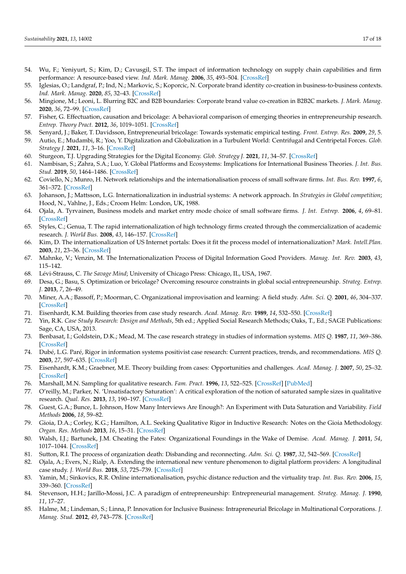- <span id="page-16-0"></span>54. Wu, F.; Yeniyurt, S.; Kim, D.; Cavusgil, S.T. The impact of information technology on supply chain capabilities and firm performance: A resource-based view. *Ind. Mark. Manag.* **2006**, *35*, 493–504. [\[CrossRef\]](http://doi.org/10.1016/j.indmarman.2005.05.003)
- <span id="page-16-1"></span>55. Iglesias, O.; Landgraf, P.; Ind, N.; Markovic, S.; Koporcic, N. Corporate brand identity co-creation in business-to-business contexts. *Ind. Mark. Manag.* **2020**, *85*, 32–43. [\[CrossRef\]](http://doi.org/10.1016/j.indmarman.2019.09.008)
- <span id="page-16-2"></span>56. Mingione, M.; Leoni, L. Blurring B2C and B2B boundaries: Corporate brand value co-creation in B2B2C markets. *J. Mark. Manag.* **2020**, *36*, 72–99. [\[CrossRef\]](http://doi.org/10.1080/0267257X.2019.1694566)
- <span id="page-16-3"></span>57. Fisher, G. Effectuation, causation and bricolage: A behavioral comparison of emerging theories in entrepreneurship research. *Entrep. Theory Pract.* **2012**, *36*, 1019–1051. [\[CrossRef\]](http://doi.org/10.1111/j.1540-6520.2012.00537.x)
- <span id="page-16-4"></span>58. Senyard, J.; Baker, T. Davidsson, Entrepreneurial bricolage: Towards systematic empirical testing. *Front. Entrep. Res.* **2009**, *29*, 5.
- <span id="page-16-5"></span>59. Autio, E.; Mudambi, R.; Yoo, Y. Digitalization and Globalization in a Turbulent World: Centrifugal and Centripetal Forces. *Glob. Strategy J.* **2021**, *11*, 3–16. [\[CrossRef\]](http://doi.org/10.1002/gsj.1396)
- <span id="page-16-6"></span>60. Sturgeon, T.J. Upgrading Strategies for the Digital Economy. *Glob. Strategy J.* **2021**, *11*, 34–57. [\[CrossRef\]](http://doi.org/10.1002/gsj.1364)
- <span id="page-16-7"></span>61. Nambisan, S.; Zahra, S.A.; Luo, Y. Global Platforms and Ecosystems: Implications for International Business Theories. *J. Int. Bus. Stud.* **2019**, *50*, 1464–1486. [\[CrossRef\]](http://doi.org/10.1057/s41267-019-00262-4)
- <span id="page-16-8"></span>62. Coviello, N.; Munro, H. Network relationships and the internationalisation process of small software firms. *Int. Bus. Rev.* **1997**, *6*, 361–372. [\[CrossRef\]](http://doi.org/10.1016/S0969-5931(97)00010-3)
- <span id="page-16-9"></span>63. Johanson, J.; Mattsson, L.G. Internationalization in industrial systems: A network approach. In *Strategies in Global competition*; Hood, N., Vahlne, J., Eds.; Croom Helm: London, UK, 1988.
- <span id="page-16-10"></span>64. Ojala, A. Tyrvainen, Business models and market entry mode choice of small software firms. *J. Int. Entrep.* **2006**, *4*, 69–81. [\[CrossRef\]](http://doi.org/10.1007/s10843-006-0001-z)
- <span id="page-16-11"></span>65. Styles, C.; Genua, T. The rapid internationalization of high technology firms created through the commercialization of academic research. *J. World Bus.* **2008**, *43*, 146–157. [\[CrossRef\]](http://doi.org/10.1016/j.jwb.2007.11.011)
- <span id="page-16-12"></span>66. Kim, D. The internationalization of US Internet portals: Does it fit the process model of internationalization? *Mark. Intell.Plan.* **2003**, *21*, 23–36. [\[CrossRef\]](http://doi.org/10.1108/02634500310458126)
- <span id="page-16-13"></span>67. Mahnke, V.; Venzin, M. The Internationalization Process of Digital Information Good Providers. *Manag. Int. Rev.* **2003**, *43*, 115–142.
- <span id="page-16-14"></span>68. Lévi-Strauss, C. *The Savage Mind*; University of Chicago Press: Chicago, IL, USA, 1967.
- <span id="page-16-15"></span>69. Desa, G.; Basu, S. Optimization or bricolage? Overcoming resource constraints in global social entrepreneurship. *Strateg. Entrep. J.* **2013**, *7*, 26–49.
- <span id="page-16-16"></span>70. Miner, A.A.; Bassoff, P.; Moorman, C. Organizational improvisation and learning: A field study. *Adm. Sci. Q.* **2001**, *46*, 304–337. [\[CrossRef\]](http://doi.org/10.2307/2667089)
- <span id="page-16-17"></span>71. Eisenhardt, K.M. Building theories from case study research. *Acad. Manag. Rev.* **1989**, *14*, 532–550. [\[CrossRef\]](http://doi.org/10.2307/258557)
- <span id="page-16-18"></span>72. Yin, R.K. *Case Study Research: Design and Methods*, 5th ed.; Applied Social Research Methods; Oaks, T., Ed.; SAGE Publications: Sage, CA, USA, 2013.
- <span id="page-16-19"></span>73. Benbasat, I.; Goldstein, D.K.; Mead, M. The case research strategy in studies of information systems. *MIS Q.* **1987**, *11*, 369–386. [\[CrossRef\]](http://doi.org/10.2307/248684)
- <span id="page-16-20"></span>74. Dubé, L.G. Paré, Rigor in information systems positivist case research: Current practices, trends, and recommendations. *MIS Q.* **2003**, *27*, 597–635. [\[CrossRef\]](http://doi.org/10.2307/30036550)
- <span id="page-16-21"></span>75. Eisenhardt, K.M.; Graebner, M.E. Theory building from cases: Opportunities and challenges. *Acad. Manag. J.* **2007**, *50*, 25–32. [\[CrossRef\]](http://doi.org/10.5465/amj.2007.24160888)
- 76. Marshall, M.N. Sampling for qualitative research. *Fam. Pract.* **1996**, *13*, 522–525. [\[CrossRef\]](http://doi.org/10.1093/fampra/13.6.522) [\[PubMed\]](http://www.ncbi.nlm.nih.gov/pubmed/9023528)
- <span id="page-16-22"></span>77. O'reilly, M.; Parker, N. 'Unsatisfactory Saturation': A critical exploration of the notion of saturated sample sizes in qualitative research. *Qual. Res.* **2013**, *13*, 190–197. [\[CrossRef\]](http://doi.org/10.1177/1468794112446106)
- <span id="page-16-23"></span>78. Guest, G.A.; Bunce, L. Johnson, How Many Interviews Are Enough?: An Experiment with Data Saturation and Variability. *Field Methods* **2006**, *18*, 59–82.
- <span id="page-16-24"></span>79. Gioia, D.A.; Corley, K.G.; Hamilton, A.L. Seeking Qualitative Rigor in Inductive Research: Notes on the Gioia Methodology. *Organ. Res. Methods* **2013**, *16*, 15–31. [\[CrossRef\]](http://doi.org/10.1177/1094428112452151)
- <span id="page-16-25"></span>80. Walsh, I.J.; Bartunek, J.M. Cheating the Fates: Organizational Foundings in the Wake of Demise. *Acad. Manag. J.* **2011**, *54*, 1017–1044. [\[CrossRef\]](http://doi.org/10.5465/amj.2008.0658)
- <span id="page-16-26"></span>81. Sutton, R.I. The process of organization death: Disbanding and reconnecting. *Adm. Sci. Q.* **1987**, *32*, 542–569. [\[CrossRef\]](http://doi.org/10.2307/2392883)
- <span id="page-16-27"></span>82. Ojala, A.; Evers, N.; Rialp, A. Extending the international new venture phenomenon to digital platform providers: A longitudinal case study. *J. World Bus.* **2018**, *53*, 725–739. [\[CrossRef\]](http://doi.org/10.1016/j.jwb.2018.05.001)
- <span id="page-16-28"></span>83. Yamin, M.; Sinkovics, R.R. Online internationalisation, psychic distance reduction and the virtuality trap. *Int. Bus. Rev.* **2006**, *15*, 339–360. [\[CrossRef\]](http://doi.org/10.1016/j.ibusrev.2006.03.002)
- <span id="page-16-29"></span>84. Stevenson, H.H.; Jarillo-Mossi, J.C. A paradigm of entrepreneurship: Entrepreneurial management. *Strateg. Manag. J.* **1990**, *11*, 17–27.
- <span id="page-16-30"></span>85. Halme, M.; Lindeman, S.; Linna, P. Innovation for Inclusive Business: Intrapreneurial Bricolage in Multinational Corporations. *J. Manag. Stud.* **2012**, *49*, 743–778. [\[CrossRef\]](http://doi.org/10.1111/j.1467-6486.2012.01045.x)